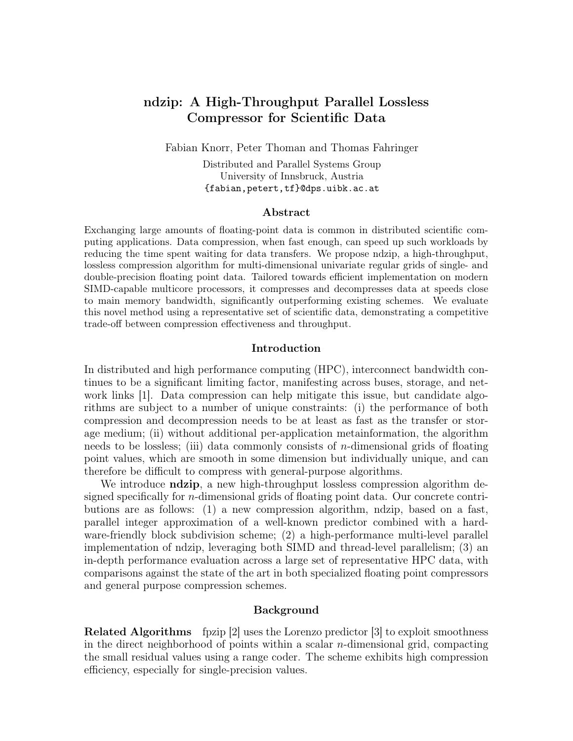# <span id="page-0-0"></span>ndzip: A High-Throughput Parallel Lossless Compressor for Scientific Data

Fabian Knorr, Peter Thoman and Thomas Fahringer

Distributed and Parallel Systems Group University of Innsbruck, Austria <{fabian,petert,tf}@dps.uibk.ac.at>

#### Abstract

Exchanging large amounts of floating-point data is common in distributed scientific computing applications. Data compression, when fast enough, can speed up such workloads by reducing the time spent waiting for data transfers. We propose ndzip, a high-throughput, lossless compression algorithm for multi-dimensional univariate regular grids of single- and double-precision floating point data. Tailored towards efficient implementation on modern SIMD-capable multicore processors, it compresses and decompresses data at speeds close to main memory bandwidth, significantly outperforming existing schemes. We evaluate this novel method using a representative set of scientific data, demonstrating a competitive trade-off between compression effectiveness and throughput.

#### Introduction

In distributed and high performance computing (HPC), interconnect bandwidth continues to be a significant limiting factor, manifesting across buses, storage, and net-work links [\[1\]](#page-9-0). Data compression can help mitigate this issue, but candidate algorithms are subject to a number of unique constraints: (i) the performance of both compression and decompression needs to be at least as fast as the transfer or storage medium; (ii) without additional per-application metainformation, the algorithm needs to be lossless; (iii) data commonly consists of n-dimensional grids of floating point values, which are smooth in some dimension but individually unique, and can therefore be difficult to compress with general-purpose algorithms.

We introduce **ndzip**, a new high-throughput lossless compression algorithm designed specifically for n-dimensional grids of floating point data. Our concrete contributions are as follows: (1) a new compression algorithm, ndzip, based on a fast, parallel integer approximation of a well-known predictor combined with a hardware-friendly block subdivision scheme; (2) a high-performance multi-level parallel implementation of ndzip, leveraging both SIMD and thread-level parallelism; (3) an in-depth performance evaluation across a large set of representative HPC data, with comparisons against the state of the art in both specialized floating point compressors and general purpose compression schemes.

#### Background

Related Algorithms fpzip [\[2\]](#page-9-1) uses the Lorenzo predictor [\[3\]](#page-9-2) to exploit smoothness in the direct neighborhood of points within a scalar  $n$ -dimensional grid, compacting the small residual values using a range coder. The scheme exhibits high compression efficiency, especially for single-precision values.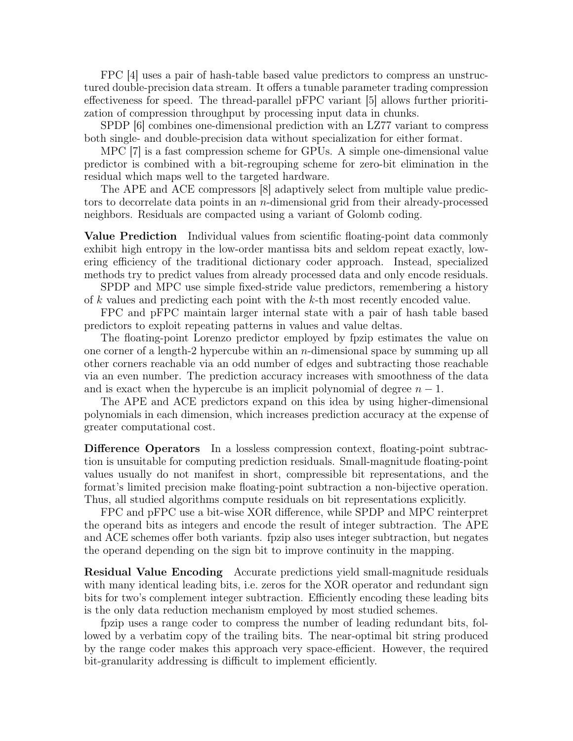FPC [\[4\]](#page-9-3) uses a pair of hash-table based value predictors to compress an unstructured double-precision data stream. It offers a tunable parameter trading compression effectiveness for speed. The thread-parallel pFPC variant [\[5\]](#page-9-4) allows further prioritization of compression throughput by processing input data in chunks.

SPDP [\[6\]](#page-9-5) combines one-dimensional prediction with an LZ77 variant to compress both single- and double-precision data without specialization for either format.

MPC [\[7\]](#page-9-6) is a fast compression scheme for GPUs. A simple one-dimensional value predictor is combined with a bit-regrouping scheme for zero-bit elimination in the residual which maps well to the targeted hardware.

The APE and ACE compressors [\[8\]](#page-9-7) adaptively select from multiple value predictors to decorrelate data points in an n-dimensional grid from their already-processed neighbors. Residuals are compacted using a variant of Golomb coding.

Value Prediction Individual values from scientific floating-point data commonly exhibit high entropy in the low-order mantissa bits and seldom repeat exactly, lowering efficiency of the traditional dictionary coder approach. Instead, specialized methods try to predict values from already processed data and only encode residuals.

SPDP and MPC use simple fixed-stride value predictors, remembering a history of k values and predicting each point with the k-th most recently encoded value.

FPC and pFPC maintain larger internal state with a pair of hash table based predictors to exploit repeating patterns in values and value deltas.

The floating-point Lorenzo predictor employed by fpzip estimates the value on one corner of a length-2 hypercube within an  $n$ -dimensional space by summing up all other corners reachable via an odd number of edges and subtracting those reachable via an even number. The prediction accuracy increases with smoothness of the data and is exact when the hypercube is an implicit polynomial of degree  $n-1$ .

The APE and ACE predictors expand on this idea by using higher-dimensional polynomials in each dimension, which increases prediction accuracy at the expense of greater computational cost.

Difference Operators In a lossless compression context, floating-point subtraction is unsuitable for computing prediction residuals. Small-magnitude floating-point values usually do not manifest in short, compressible bit representations, and the format's limited precision make floating-point subtraction a non-bijective operation. Thus, all studied algorithms compute residuals on bit representations explicitly.

FPC and pFPC use a bit-wise XOR difference, while SPDP and MPC reinterpret the operand bits as integers and encode the result of integer subtraction. The APE and ACE schemes offer both variants. fpzip also uses integer subtraction, but negates the operand depending on the sign bit to improve continuity in the mapping.

Residual Value Encoding Accurate predictions yield small-magnitude residuals with many identical leading bits, i.e. zeros for the XOR operator and redundant sign bits for two's complement integer subtraction. Efficiently encoding these leading bits is the only data reduction mechanism employed by most studied schemes.

fpzip uses a range coder to compress the number of leading redundant bits, followed by a verbatim copy of the trailing bits. The near-optimal bit string produced by the range coder makes this approach very space-efficient. However, the required bit-granularity addressing is difficult to implement efficiently.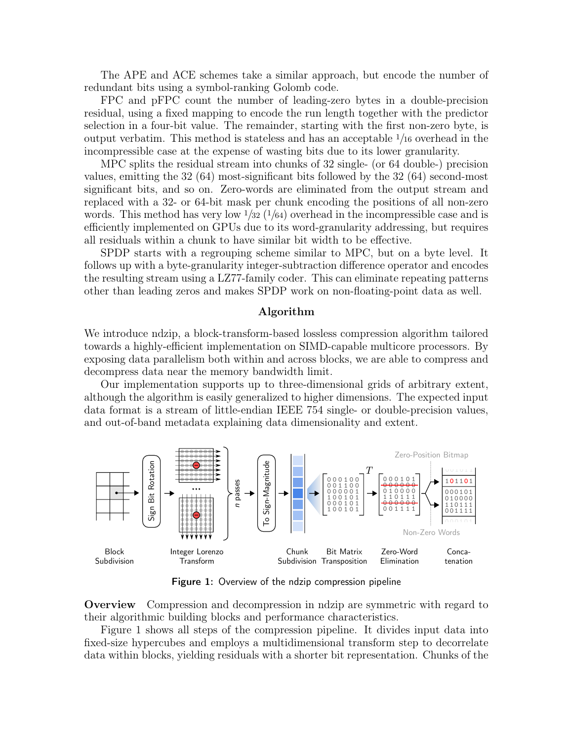The APE and ACE schemes take a similar approach, but encode the number of redundant bits using a symbol-ranking Golomb code.

FPC and pFPC count the number of leading-zero bytes in a double-precision residual, using a fixed mapping to encode the run length together with the predictor selection in a four-bit value. The remainder, starting with the first non-zero byte, is output verbatim. This method is stateless and has an acceptable <sup>1</sup>/<sup>16</sup> overhead in the incompressible case at the expense of wasting bits due to its lower granularity.

MPC splits the residual stream into chunks of 32 single- (or 64 double-) precision values, emitting the 32 (64) most-significant bits followed by the 32 (64) second-most significant bits, and so on. Zero-words are eliminated from the output stream and replaced with a 32- or 64-bit mask per chunk encoding the positions of all non-zero words. This method has very low  $\frac{1}{32}$  ( $\frac{1}{64}$ ) overhead in the incompressible case and is efficiently implemented on GPUs due to its word-granularity addressing, but requires all residuals within a chunk to have similar bit width to be effective.

SPDP starts with a regrouping scheme similar to MPC, but on a byte level. It follows up with a byte-granularity integer-subtraction difference operator and encodes the resulting stream using a LZ77-family coder. This can eliminate repeating patterns other than leading zeros and makes SPDP work on non-floating-point data as well.

#### Algorithm

We introduce ndzip, a block-transform-based lossless compression algorithm tailored towards a highly-efficient implementation on SIMD-capable multicore processors. By exposing data parallelism both within and across blocks, we are able to compress and decompress data near the memory bandwidth limit.

Our implementation supports up to three-dimensional grids of arbitrary extent, although the algorithm is easily generalized to higher dimensions. The expected input data format is a stream of little-endian IEEE 754 single- or double-precision values, and out-of-band metadata explaining data dimensionality and extent.

<span id="page-2-0"></span>

Figure 1: Overview of the ndzip compression pipeline

Overview Compression and decompression in ndzip are symmetric with regard to their algorithmic building blocks and performance characteristics.

Figure [1](#page-2-0) shows all steps of the compression pipeline. It divides input data into fixed-size hypercubes and employs a multidimensional transform step to decorrelate data within blocks, yielding residuals with a shorter bit representation. Chunks of the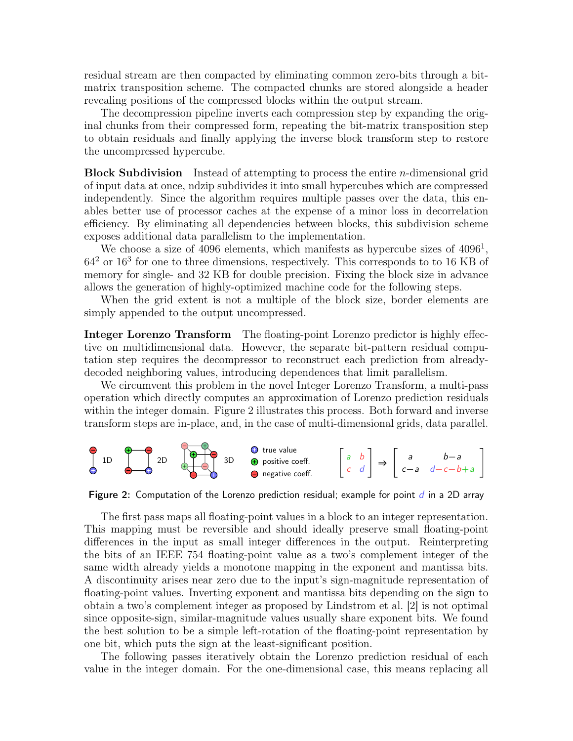residual stream are then compacted by eliminating common zero-bits through a bitmatrix transposition scheme. The compacted chunks are stored alongside a header revealing positions of the compressed blocks within the output stream.

The decompression pipeline inverts each compression step by expanding the original chunks from their compressed form, repeating the bit-matrix transposition step to obtain residuals and finally applying the inverse block transform step to restore the uncompressed hypercube.

Block Subdivision Instead of attempting to process the entire n-dimensional grid of input data at once, ndzip subdivides it into small hypercubes which are compressed independently. Since the algorithm requires multiple passes over the data, this enables better use of processor caches at the expense of a minor loss in decorrelation efficiency. By eliminating all dependencies between blocks, this subdivision scheme exposes additional data parallelism to the implementation.

We choose a size of  $4096$  elements, which manifests as hypercube sizes of  $4096<sup>1</sup>$ , 64<sup>2</sup> or 16<sup>3</sup> for one to three dimensions, respectively. This corresponds to to 16 KB of memory for single- and 32 KB for double precision. Fixing the block size in advance allows the generation of highly-optimized machine code for the following steps.

When the grid extent is not a multiple of the block size, border elements are simply appended to the output uncompressed.

Integer Lorenzo Transform The floating-point Lorenzo predictor is highly effective on multidimensional data. However, the separate bit-pattern residual computation step requires the decompressor to reconstruct each prediction from alreadydecoded neighboring values, introducing dependences that limit parallelism.

We circumvent this problem in the novel Integer Lorenzo Transform, a multi-pass operation which directly computes an approximation of Lorenzo prediction residuals within the integer domain. Figure [2](#page-3-0) illustrates this process. Both forward and inverse transform steps are in-place, and, in the case of multi-dimensional grids, data parallel.

<span id="page-3-0"></span>

Figure 2: Computation of the Lorenzo prediction residual; example for point  $d$  in a 2D array

The first pass maps all floating-point values in a block to an integer representation. This mapping must be reversible and should ideally preserve small floating-point differences in the input as small integer differences in the output. Reinterpreting the bits of an IEEE 754 floating-point value as a two's complement integer of the same width already yields a monotone mapping in the exponent and mantissa bits. A discontinuity arises near zero due to the input's sign-magnitude representation of floating-point values. Inverting exponent and mantissa bits depending on the sign to obtain a two's complement integer as proposed by Lindstrom et al. [\[2\]](#page-9-1) is not optimal since opposite-sign, similar-magnitude values usually share exponent bits. We found the best solution to be a simple left-rotation of the floating-point representation by one bit, which puts the sign at the least-significant position.

The following passes iteratively obtain the Lorenzo prediction residual of each value in the integer domain. For the one-dimensional case, this means replacing all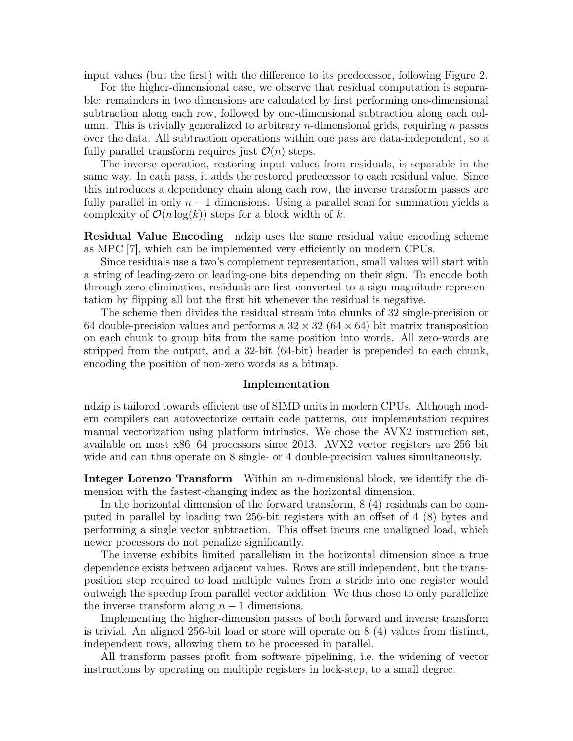input values (but the first) with the difference to its predecessor, following Figure [2.](#page-3-0)

For the higher-dimensional case, we observe that residual computation is separable: remainders in two dimensions are calculated by first performing one-dimensional subtraction along each row, followed by one-dimensional subtraction along each column. This is trivially generalized to arbitrary *n*-dimensional grids, requiring *n* passes over the data. All subtraction operations within one pass are data-independent, so a fully parallel transform requires just  $\mathcal{O}(n)$  steps.

The inverse operation, restoring input values from residuals, is separable in the same way. In each pass, it adds the restored predecessor to each residual value. Since this introduces a dependency chain along each row, the inverse transform passes are fully parallel in only  $n - 1$  dimensions. Using a parallel scan for summation yields a complexity of  $\mathcal{O}(n \log(k))$  steps for a block width of k.

**Residual Value Encoding** ndzip uses the same residual value encoding scheme as MPC [\[7\]](#page-9-6), which can be implemented very efficiently on modern CPUs.

Since residuals use a two's complement representation, small values will start with a string of leading-zero or leading-one bits depending on their sign. To encode both through zero-elimination, residuals are first converted to a sign-magnitude representation by flipping all but the first bit whenever the residual is negative.

The scheme then divides the residual stream into chunks of 32 single-precision or 64 double-precision values and performs a  $32 \times 32$  (64  $\times$  64) bit matrix transposition on each chunk to group bits from the same position into words. All zero-words are stripped from the output, and a 32-bit (64-bit) header is prepended to each chunk, encoding the position of non-zero words as a bitmap.

#### Implementation

ndzip is tailored towards efficient use of SIMD units in modern CPUs. Although modern compilers can autovectorize certain code patterns, our implementation requires manual vectorization using platform intrinsics. We chose the AVX2 instruction set, available on most x86\_64 processors since 2013. AVX2 vector registers are 256 bit wide and can thus operate on 8 single- or 4 double-precision values simultaneously.

**Integer Lorenzo Transform** Within an *n*-dimensional block, we identify the dimension with the fastest-changing index as the horizontal dimension.

In the horizontal dimension of the forward transform, 8 (4) residuals can be computed in parallel by loading two 256-bit registers with an offset of 4 (8) bytes and performing a single vector subtraction. This offset incurs one unaligned load, which newer processors do not penalize significantly.

The inverse exhibits limited parallelism in the horizontal dimension since a true dependence exists between adjacent values. Rows are still independent, but the transposition step required to load multiple values from a stride into one register would outweigh the speedup from parallel vector addition. We thus chose to only parallelize the inverse transform along  $n-1$  dimensions.

Implementing the higher-dimension passes of both forward and inverse transform is trivial. An aligned 256-bit load or store will operate on 8 (4) values from distinct, independent rows, allowing them to be processed in parallel.

All transform passes profit from software pipelining, i.e. the widening of vector instructions by operating on multiple registers in lock-step, to a small degree.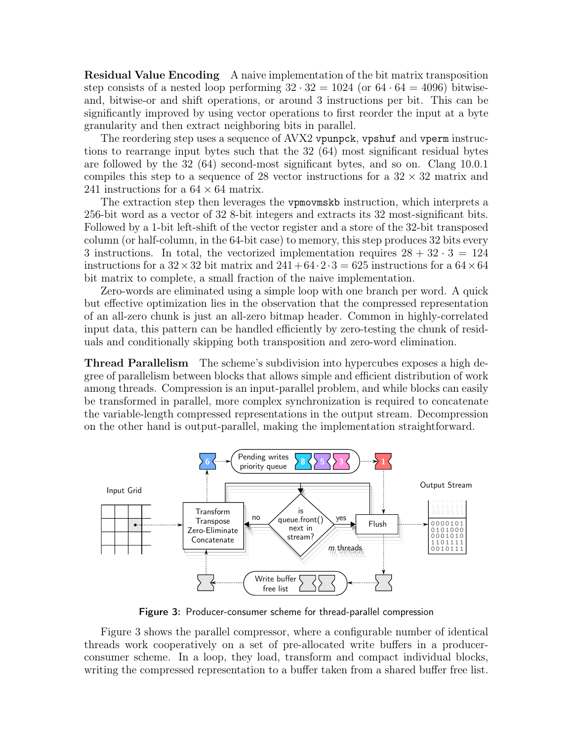Residual Value Encoding A naive implementation of the bit matrix transposition step consists of a nested loop performing  $32 \cdot 32 = 1024$  (or  $64 \cdot 64 = 4096$ ) bitwiseand, bitwise-or and shift operations, or around 3 instructions per bit. This can be significantly improved by using vector operations to first reorder the input at a byte granularity and then extract neighboring bits in parallel.

The reordering step uses a sequence of AVX2 vpunpck, vpshuf and vperm instructions to rearrange input bytes such that the 32 (64) most significant residual bytes are followed by the 32 (64) second-most significant bytes, and so on. Clang 10.0.1 compiles this step to a sequence of 28 vector instructions for a  $32 \times 32$  matrix and 241 instructions for a  $64 \times 64$  matrix.

The extraction step then leverages the vpmovmskb instruction, which interprets a 256-bit word as a vector of 32 8-bit integers and extracts its 32 most-significant bits. Followed by a 1-bit left-shift of the vector register and a store of the 32-bit transposed column (or half-column, in the 64-bit case) to memory, this step produces 32 bits every 3 instructions. In total, the vectorized implementation requires  $28 + 32 \cdot 3 = 124$ instructions for a  $32 \times 32$  bit matrix and  $241+64 \cdot 2 \cdot 3 = 625$  instructions for a  $64 \times 64$ bit matrix to complete, a small fraction of the naive implementation.

Zero-words are eliminated using a simple loop with one branch per word. A quick but effective optimization lies in the observation that the compressed representation of an all-zero chunk is just an all-zero bitmap header. Common in highly-correlated input data, this pattern can be handled efficiently by zero-testing the chunk of residuals and conditionally skipping both transposition and zero-word elimination.

Thread Parallelism The scheme's subdivision into hypercubes exposes a high degree of parallelism between blocks that allows simple and efficient distribution of work among threads. Compression is an input-parallel problem, and while blocks can easily be transformed in parallel, more complex synchronization is required to concatenate the variable-length compressed representations in the output stream. Decompression on the other hand is output-parallel, making the implementation straightforward.

<span id="page-5-0"></span>

Figure 3: Producer-consumer scheme for thread-parallel compression

Figure [3](#page-5-0) shows the parallel compressor, where a configurable number of identical threads work cooperatively on a set of pre-allocated write buffers in a producerconsumer scheme. In a loop, they load, transform and compact individual blocks, writing the compressed representation to a buffer taken from a shared buffer free list.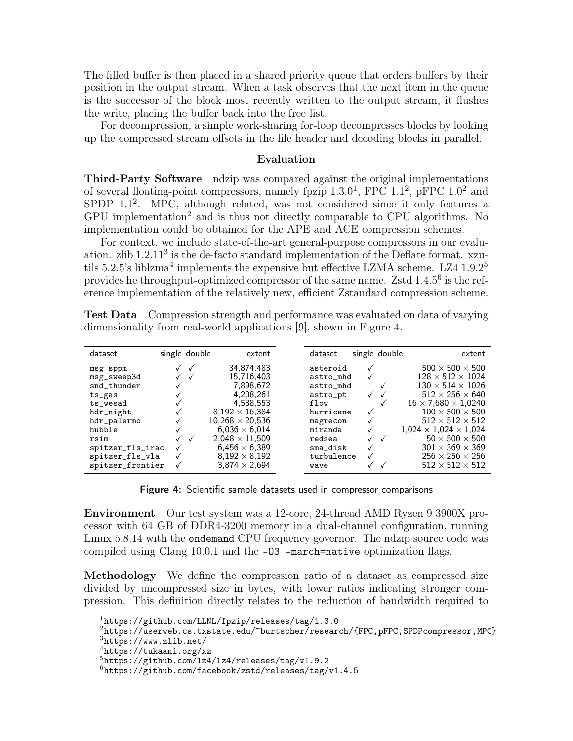The filled buffer is then placed in a shared priority queue that orders buffers by their position in the output stream. When a task observes that the next item in the queue is the successor of the block most recently written to the output stream, it flushes the write, placing the buffer back into the free list.

For decompression, a simple work-sharing for-loop decompresses blocks by looking up the compressed stream offsets in the file header and decoding blocks in parallel.

## Evaluation

<span id="page-6-0"></span>Third-Party Software ndzip was compared against the original implementations of several floating-point compressors, namely fpzip  $1.3.0<sup>1</sup>$  $1.3.0<sup>1</sup>$ , FPC  $1.1<sup>2</sup>$  $1.1<sup>2</sup>$  $1.1<sup>2</sup>$ , pFPC  $1.0<sup>2</sup>$  and SPDP 1.1<sup>[2](#page-0-0)</sup>. MPC, although related, was not considered since it only features a GPU implementation[2](#page-0-0) and is thus not directly comparable to CPU algorithms. No implementation could be obtained for the APE and ACE compression schemes.

For context, we include state-of-the-art general-purpose compressors in our evaluation. zlib  $1.2.11<sup>3</sup>$  $1.2.11<sup>3</sup>$  $1.2.11<sup>3</sup>$  is the de-facto standard implementation of the Deflate format. xzu-tils 5.2.5's liblzma<sup>[4](#page-0-0)</sup> implements the expensive but effective LZMA scheme. LZ4 1.9.2<sup>[5](#page-0-0)</sup> provides he throughput-optimized compressor of the same name. Zstd 1.4.5<sup>[6](#page-0-0)</sup> is the reference implementation of the relatively new, efficient Zstandard compression scheme.

<span id="page-6-1"></span>

| dataset                                                                                                                             | single double | extent                                                                                                                                                                                      | dataset                                                                                                          | single double     | extent                                                                                                                                                                                                                                                                                                                        |
|-------------------------------------------------------------------------------------------------------------------------------------|---------------|---------------------------------------------------------------------------------------------------------------------------------------------------------------------------------------------|------------------------------------------------------------------------------------------------------------------|-------------------|-------------------------------------------------------------------------------------------------------------------------------------------------------------------------------------------------------------------------------------------------------------------------------------------------------------------------------|
| $msg$ _sppm<br>msg_sweep3d<br>snd_thunder<br>ts_gas<br>$ts$ wesad<br>hdr_night<br>hdr_palermo<br>hubble<br>rsim<br>spitzer_fls_irac |               | 34,874,483<br>15.716.403<br>7,898,672<br>4,208,261<br>4,588,553<br>$8.192 \times 16.384$<br>$10.268 \times 20.536$<br>$6.036 \times 6.014$<br>$2.048 \times 11.509$<br>$6,456 \times 6,389$ | asteroid<br>astro_mhd<br>astro_mhd<br>astro_pt<br>flow<br>hurricane<br>magrecon<br>miranda<br>redsea<br>sma_disk | √<br>$\checkmark$ | $500 \times 500 \times 500$<br>$128 \times 512 \times 1024$<br>$130 \times 514 \times 1026$<br>$512 \times 256 \times 640$<br>$16 \times 7,680 \times 1,0240$<br>$100 \times 500 \times 500$<br>$512 \times 512 \times 512$<br>$1,024 \times 1,024 \times 1,024$<br>$50 \times 500 \times 500$<br>$301 \times 369 \times 369$ |
| spitzer_fls_vla<br>spitzer_frontier                                                                                                 |               | $8.192 \times 8.192$<br>$3.874 \times 2.694$                                                                                                                                                | turbulence<br>wave                                                                                               |                   | $256 \times 256 \times 256$<br>$512 \times 512 \times 512$                                                                                                                                                                                                                                                                    |

Test Data Compression strength and performance was evaluated on data of varying dimensionality from real-world applications [\[9\]](#page-9-8), shown in Figure [4.](#page-6-1)

Figure 4: Scientific sample datasets used in compressor comparisons

Environment Our test system was a 12-core, 24-thread AMD Ryzen 9 3900X processor with 64 GB of DDR4-3200 memory in a dual-channel configuration, running Linux 5.8.14 with the ondemand CPU frequency governor. The ndzip source code was compiled using Clang 10.0.1 and the -O3 -march=native optimization flags.

Methodology We define the compression ratio of a dataset as compressed size divided by uncompressed size in bytes, with lower ratios indicating stronger compression. This definition directly relates to the reduction of bandwidth required to

<sup>1</sup><https://github.com/LLNL/fpzip/releases/tag/1.3.0>

<sup>2</sup><https://userweb.cs.txstate.edu/~burtscher/research/{FPC,pFPC,SPDPcompressor,MPC}> <sup>3</sup><https://www.zlib.net/>

<sup>4</sup><https://tukaani.org/xz>

 $5$ https://github.com/1z4/1z4/releases/tag/v1.9.2

 $6$ <https://github.com/facebook/zstd/releases/tag/v1.4.5>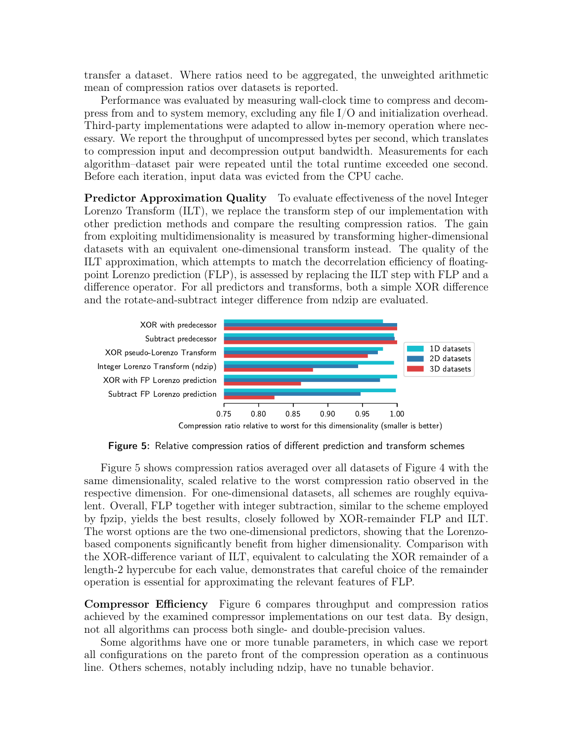transfer a dataset. Where ratios need to be aggregated, the unweighted arithmetic mean of compression ratios over datasets is reported.

Performance was evaluated by measuring wall-clock time to compress and decompress from and to system memory, excluding any file I/O and initialization overhead. Third-party implementations were adapted to allow in-memory operation where necessary. We report the throughput of uncompressed bytes per second, which translates to compression input and decompression output bandwidth. Measurements for each algorithm–dataset pair were repeated until the total runtime exceeded one second. Before each iteration, input data was evicted from the CPU cache.

Predictor Approximation Quality To evaluate effectiveness of the novel Integer Lorenzo Transform (ILT), we replace the transform step of our implementation with other prediction methods and compare the resulting compression ratios. The gain from exploiting multidimensionality is measured by transforming higher-dimensional datasets with an equivalent one-dimensional transform instead. The quality of the ILT approximation, which attempts to match the decorrelation efficiency of floatingpoint Lorenzo prediction (FLP), is assessed by replacing the ILT step with FLP and a difference operator. For all predictors and transforms, both a simple XOR difference and the rotate-and-subtract integer difference from ndzip are evaluated.

<span id="page-7-0"></span>

Compression ratio relative to worst for this dimensionality (smaller is better)

Figure 5: Relative compression ratios of different prediction and transform schemes

Figure [5](#page-7-0) shows compression ratios averaged over all datasets of Figure [4](#page-6-1) with the same dimensionality, scaled relative to the worst compression ratio observed in the respective dimension. For one-dimensional datasets, all schemes are roughly equivalent. Overall, FLP together with integer subtraction, similar to the scheme employed by fpzip, yields the best results, closely followed by XOR-remainder FLP and ILT. The worst options are the two one-dimensional predictors, showing that the Lorenzobased components significantly benefit from higher dimensionality. Comparison with the XOR-difference variant of ILT, equivalent to calculating the XOR remainder of a length-2 hypercube for each value, demonstrates that careful choice of the remainder operation is essential for approximating the relevant features of FLP.

Compressor Efficiency Figure [6](#page-8-0) compares throughput and compression ratios achieved by the examined compressor implementations on our test data. By design, not all algorithms can process both single- and double-precision values.

Some algorithms have one or more tunable parameters, in which case we report all configurations on the pareto front of the compression operation as a continuous line. Others schemes, notably including ndzip, have no tunable behavior.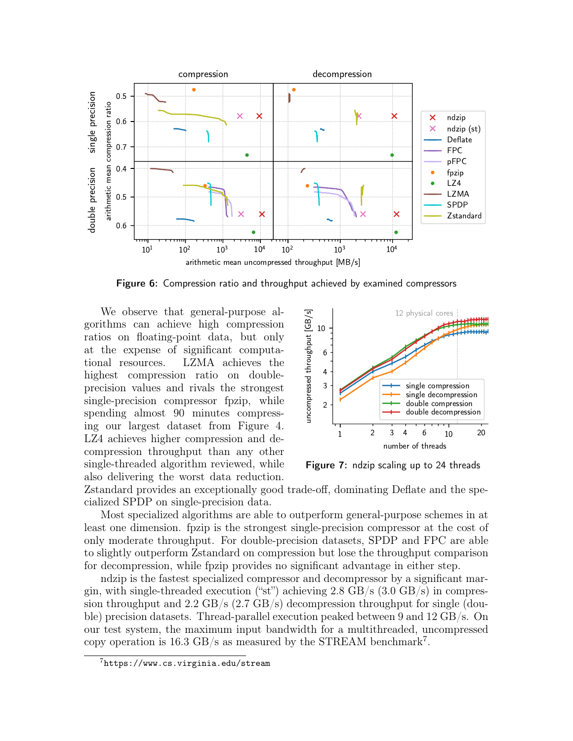<span id="page-8-0"></span>

Figure 6: Compression ratio and throughput achieved by examined compressors

We observe that general-purpose algorithms can achieve high compression ratios on floating-point data, but only at the expense of significant computational resources. LZMA achieves the highest compression ratio on doubleprecision values and rivals the strongest single-precision compressor fpzip, while spending almost 90 minutes compressing our largest dataset from Figure [4.](#page-6-1) LZ4 achieves higher compression and decompression throughput than any other single-threaded algorithm reviewed, while also delivering the worst data reduction.

<span id="page-8-1"></span>

Figure 7: ndzip scaling up to 24 threads

Zstandard provides an exceptionally good trade-off, dominating Deflate and the specialized SPDP on single-precision data.

Most specialized algorithms are able to outperform general-purpose schemes in at least one dimension. fpzip is the strongest single-precision compressor at the cost of only moderate throughput. For double-precision datasets, SPDP and FPC are able to slightly outperform Zstandard on compression but lose the throughput comparison for decompression, while fpzip provides no significant advantage in either step.

ndzip is the fastest specialized compressor and decompressor by a significant margin, with single-threaded execution ("st") achieving  $2.8 \text{ GB/s}$  (3.0  $\text{GB/s}$ ) in compression throughput and 2.2 GB/s  $(2.7 \text{ GB/s})$  decompression throughput for single (double) precision datasets. Thread-parallel execution peaked between 9 and 12 GB/s. On our test system, the maximum input bandwidth for a multithreaded, uncompressed copy operation is 16.3 GB/s as measured by the STREAM benchmark<sup>[7](#page-0-0)</sup>.

 $7$ <https://www.cs.virginia.edu/stream>